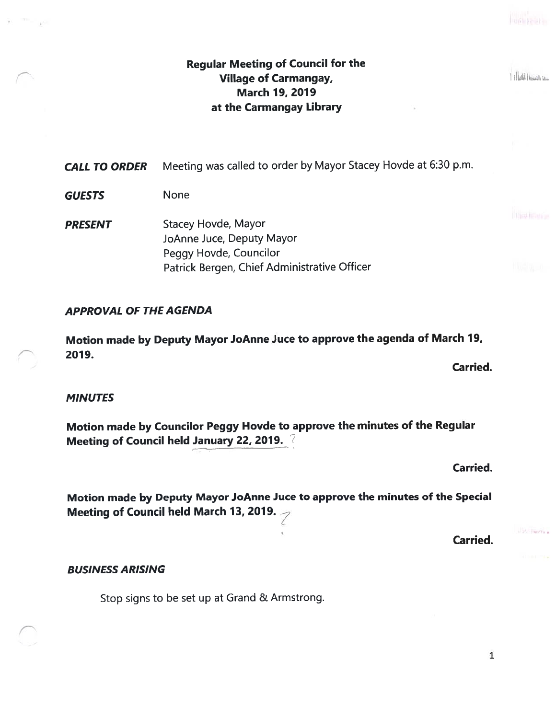1 Illustillingul pour

## Regular Meeting of Council for the Village of Carmangay. March 19, 2019 at the Carmangay Library

CALL TO ORDER Meeting was called to order by Mayor Stacey Hovde at 6:30 p.m.

GUESTS None

**PRESENT** Stacey Hovde, Mayor JoAnne Juce, Deputy Mayor Peggy Hovde, Councilor Patrick Bergen, Chief Administrative Officer

## APPROVAL OF THE AGENDA

Motion made by Deputy Mayor JoAnne Juce to approve the agenda of March 19, 2019.

Carried.

## **MINUTES**

Motion made by Councilor Peggy Hovde to approve the minutes of the Regular Meeting of Council held January 22, 2019. 7

Carried.

Carried.

Motion made by Deputy Mayor JoAnne Juce to approve the minutes of the Special Meeting of Council held March 13, 2019.

state liantes a

#### BUSINESS ARISING

Stop signs to be set up at Grand & Armstrong.

1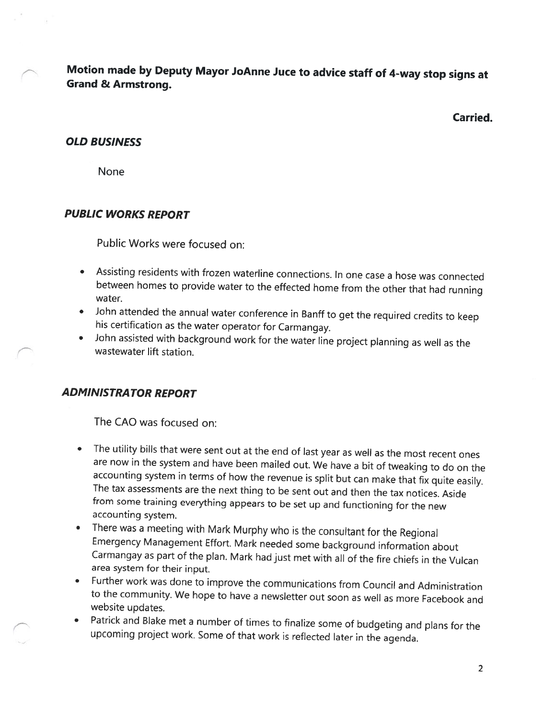Motion made by Deputy Mayor JoAnne Juce to advice staff of 4-way stop signs at Grand & Armstrong.

Carried.

#### OLD BUSINESS

None

## PUBLIC WORKS REPORT

Public Works were focused on:

- • Assisting residents with frozen waterline connections. In one case <sup>a</sup> hose was connected between homes to provide water to the effected home from the other that had running water.
- •John attended the annual water conference in Banff to get the required credits to keep his certification as the water operator for Carmangay.
- • John assisted with background work for the water line project <sup>p</sup>lanning as well as the wastewater lift station.

## ADMINISTRATOR REPORT

The CAO was focused on:

- The utility bills that were sent out at the end of last year as well as the most recent ones are now in the system and have been mailed out. We have <sup>a</sup> bit of tweaking to do on the accounting system in terms of how the revenue is split but can make that fix quite easily. The tax assessments are the next thing to be sent out and then the tax notices. Aside from some training everything appears to be set up and functioning for the new accounting system.
- • There was <sup>a</sup> meeting with Mark Murphy who is the consultant for the Regional Emergency Management Effort. Mark needed some background information about Carmangay as part of the <sup>p</sup>lan. Mark had just met with all of the fire chiefs in the Vulcan area system for their input.
- Further work was done to improve the communications from Council and Administration to the community. We hope to have <sup>a</sup> newsletter out soon as well as more Facebook and website updates.
- • Patrick and Blake met <sup>a</sup> number of times to finalize some of budgeting and <sup>p</sup>lans for the upcoming project work. Some of that work is reflected later in the agenda.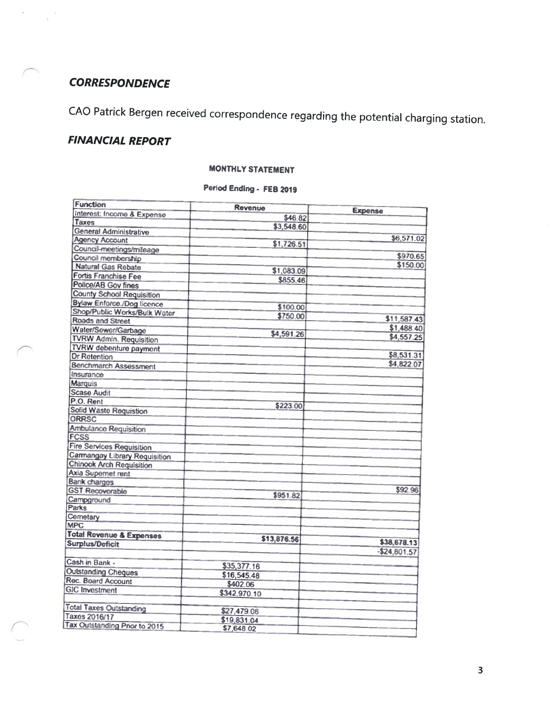# **CORRESPONDENCE**

 $\sim$ 

CAO Patrick Bergen received correspondence regarding the potential charging station.

# FINANCIAL REPORT

#### **MONTHLY STATEMENT**

## Period Ending - FEB <sup>2019</sup>

| <b>Function</b><br>Interest: Income & Expense | Revenue      | <b>Expense</b> |
|-----------------------------------------------|--------------|----------------|
| <b>Taxes</b>                                  | \$46.82      |                |
| <b>General Administrative</b>                 | \$3,548.60   |                |
| <b>Agency Account</b>                         |              | \$6,571.02     |
| Council-meetings/mileage                      | \$1,726.51   |                |
| Council membership                            |              | \$970.65       |
| <b>Natural Gas Rebate</b>                     |              | \$150.00       |
| <b>Fortis Franchise Fee</b>                   | \$1,083.09   |                |
| <b>Police/AB Gov fines</b>                    | \$855.46     |                |
| <b>County School Requisition</b>              |              |                |
| Bylaw Enforce /Dog licence                    |              |                |
| Shop/Public Works/Bulk Water                  | \$100.00     |                |
| <b>Roads and Street</b>                       | \$750.00     | \$11,587.43    |
| Water/Sewer/Garbage                           |              | \$1,488.40     |
| <b>TVRW Admin. Requisition</b>                | \$4,591.26   | \$4,557.25     |
| <b>TVRW</b> debenture payment                 |              |                |
| <b>Dr Retention</b>                           |              | \$8,531.31     |
| <b>Benchmarch Assessment</b>                  |              | \$4,822.07     |
| Insurance                                     |              |                |
| <b>Marquis</b>                                |              |                |
| <b>Scase Audit</b>                            |              |                |
| P.O. Rent                                     |              |                |
| <b>Solid Waste Requistion</b>                 | \$223.00     |                |
| <b>ORRSC</b>                                  |              |                |
| <b>Ambulance Requisition</b>                  |              |                |
| <b>FCSS</b>                                   |              |                |
| <b>Fire Services Requisition</b>              |              |                |
| <b>Carmangay Library Requisition</b>          |              |                |
| <b>Chinook Arch Requisition</b>               |              |                |
| <b>Axia Supernet rent</b>                     |              |                |
| Bank charges                                  |              |                |
| <b>GST Recoverable</b>                        |              | \$92.96        |
| Campground                                    | \$951.82     |                |
| <b>Parks</b>                                  |              |                |
| Cemetary                                      |              |                |
| <b>MPC</b>                                    |              |                |
| Total Rovenue & Expenses                      | \$13,876.56  |                |
| <b>Surplus/Deficit</b>                        |              | \$38,678.13    |
|                                               |              | $-524,801.57$  |
| Cash in Bank.                                 | \$35,377.16  |                |
| <b>Outstanding Cheques</b>                    | \$16,545.48  |                |
| Rec. Board Account                            | \$402.06     |                |
| <b>GIC Investment</b>                         | \$342,970.10 |                |
|                                               |              |                |
| <b>Total Taxes Outstanding</b>                | \$27,479.06  |                |
| Taxes 2016/17                                 | \$19,831.04  |                |
| <b>Tax Outstanding Prior to 2015</b>          | \$7,648.02   |                |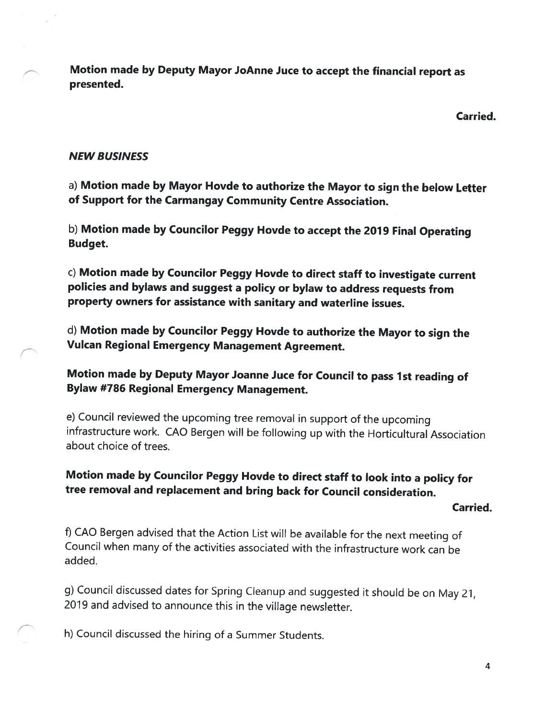Motion made by Deputy Mayor JoAnne Juce to accept the financial report as presented.

Carried.

#### NEW BUSINESS

a) Motion made by Mayor Hovde to authorize the Mayor to sign the below Letter of Support for the Carmangay Community Centre Association.

b) Motion made by Councilor Peggy Hovde to accept the <sup>2019</sup> Final Operating Budget.

c) Motion made by Councilor Peggy Hovde to direct staff to investigate current policies and bylaws and suggest <sup>a</sup> policy or bylaw to address requests from property owners for assistance with sanitary and waterline issues.

d) Motion made by Councilor Peggy Hovde to authorize the Mayor to sign the Vulcan Regional Emergency Management Agreement.

Motion made by Deputy Mayor Joanne Juce for Council to pass 1st reading of Bylaw #786 Regional Emergency Management.

e) Council reviewed the upcoming tree removal in support of the upcoming infrastructure work. CAD Bergen will be following up with the Horticultural Association about choice of trees.

# Motion made by Councilor Peggy Hovde to direct staff to look into <sup>a</sup> policy for tree removal and replacement and bring back for Council consideration.

#### Carried.

f) CAO Bergen advised that the Action List will be available for the next meeting of Council when many of the activities associated with the infrastructure work can be added.

g) Council discussed dates for Spring Cleanup and suggested it should be on May 21, <sup>2019</sup> and advised to announce this in the village newsletter.

h) Council discussed the hiring of <sup>a</sup> Summer Students.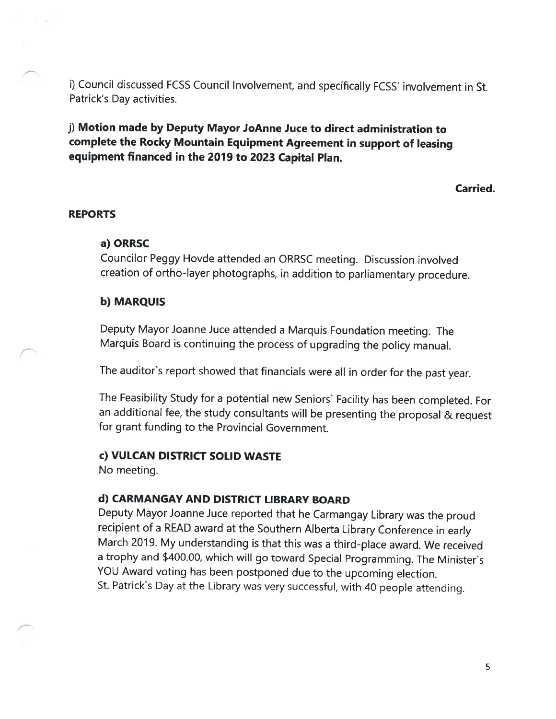i) Council discussed FCSS Council Involvement, and specifically FCSS' involvement in St. Patrick's Day activities.

j) Motion made by Deputy Mayor JoAnne Juce to direct administration to complete the Rocky Mountain Equipment Agreement in support of leasing equipment financed in the 2019 to <sup>2023</sup> Capital Plan.

Carried.

#### REPORTS

### a) ORRSC

Councilor Peggy Hovde attended an ORRSC meeting. Discussion involved creation of ortho-layer <sup>p</sup>hotographs, in addition to parliamentary procedure.

## b) MARQUIS

Deputy Mayor Joanne Juce attended <sup>a</sup> Marquis Foundation meeting. The Marquis Board is continuing the process of upgrading the policy manual.

The auditor's report showed that financials were all in order for the past year.

The Feasibility Study for <sup>a</sup> potential new Seniors' Facility has been completed. For an additional fee, the study consultants will be presenting the proposal & request for grant funding to the Provincial Government.

#### c) VULCAN DISTRICT SOLID WASTE

No meeting.

## d) CARMANGAY AND DISTRICT LIBRARY BOARD

Deputy Mayor Joanne Juce reported that he Carmangay Library was the proud recipient of <sup>a</sup> READ award at the Southern Alberta Library Conference in early March 2019. My understanding is that this was <sup>a</sup> third-place award. We received <sup>a</sup> trophy and \$400.00, which will go toward Special Programming. The Minister's YOU Award voting has been postponed due to the upcoming election. St. Patrick's Day at the Library was very successful, with 40 people attending.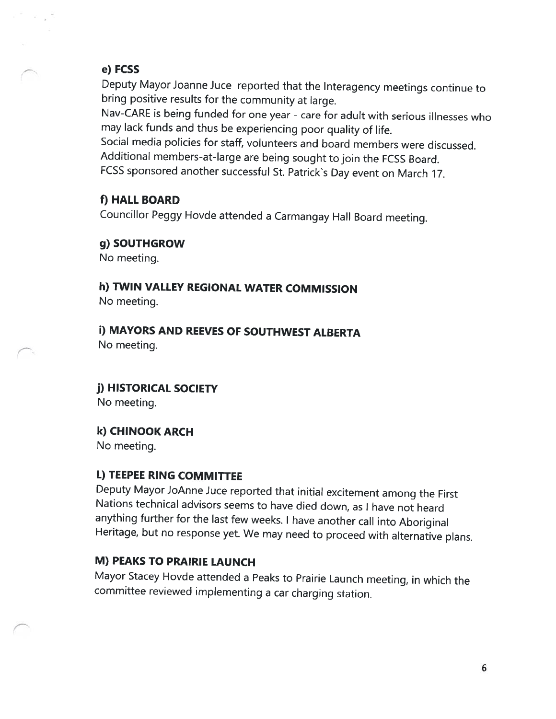### e) FCSS

 $\sim$   $_{\star}$ 

Deputy Mayor Joanne Juce reported that the Interagency meetings continue to bring positive results for the community at large.

Nav-CARE is being funded for one year - care for adult with serious illnesses who may lack funds and thus be experiencing poor quality of life.

Social media policies for staff, volunteers and board members were discussed. Additional members-at-large are being sought to join the FCSS Board.

FCSS sponsored another successful St. Patrick's Day event on March 17.

## f) HALL BOARD

Councillor Peggy Hovde attended <sup>a</sup> Carmangay Hall Board meeting.

### g) SOUTHGROW

No meeting.

h) TWIN VALLEY REGIONAL WATER COMMISSION No meeting.

i) MAYORS AND REEVES OF SOUTHWEST ALBERTA No meeting.

j) HISTORICAL SOCIETY No meeting.

# k) CHINOOK ARCH

No meeting.

## L) TEEPEE RING COMMITTEE

Deputy Mayor JoAnne Juce reported that initial excitement among the First Nations technical advisors seems to have died down, as <sup>I</sup> have not heard anything further for the last few weeks. <sup>I</sup> have another call into Aboriginal Heritage, but no response yet. We may need to proceed with alternative <sup>p</sup>lans.

## M) PEAKS TO PRAIRIE LAUNCH

Mayor Stacey Hovde attended <sup>a</sup> Peaks to Prairie Launch meeting, in which the committee reviewed implementing <sup>a</sup> car charging station.